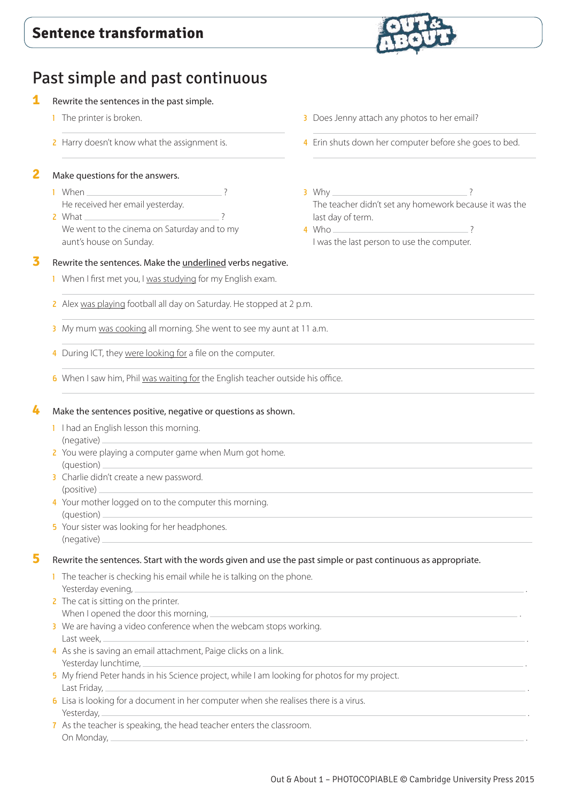

# Past simple and past continuous

## **1** Rewrite the sentences in the past simple.

- **1** The printer is broken.
- 2 Harry doesn't know what the assignment is.

# **2** Make questions for the answers.

- 1 When He received her email yesterday.
- 2 What ? We went to the cinema on Saturday and to my aunt's house on Sunday.

## **3** Rewrite the sentences. Make the underlined verbs negative.

- 1 When I first met you, I was studying for my English exam.
- 2 Alex was playing football all day on Saturday. He stopped at 2 p.m.
- 3 My mum was cooking all morning. She went to see my aunt at 11 a.m.
- 4 During ICT, they were looking for a file on the computer.
- 6 When I saw him, Phil was waiting for the English teacher outside his office.

## **4** Make the sentences positive, negative or questions as shown.

- 1 I had an English lesson this morning. (negative)
- 2 You were playing a computer game when Mum got home. (question)
- 3 Charlie didn't create a new password. (positive)
- 4 Your mother logged on to the computer this morning. (question)
- 5 Your sister was looking for her headphones. (negative)

## **5** Rewrite the sentences. Start with the words given and use the past simple or past continuous as appropriate.

- 1 The teacher is checking his email while he is talking on the phone. Yesterday evening,
- 2 The cat is sitting on the printer. When I opened the door this morning,
- 3 We are having a video conference when the webcam stops working. Last week, .
- 4 As she is saving an email attachment, Paige clicks on a link. Yesterday lunchtime, .
- 5 My friend Peter hands in his Science project, while I am looking for photos for my project. Last Friday, .
- 6 Lisa is looking for a document in her computer when she realises there is a virus. Yesterday, .
- 7 As the teacher is speaking, the head teacher enters the classroom. On Monday, .
- **3** Does Jenny attach any photos to her email?
- 4 Erin shuts down her computer before she goes to bed.
- $3$  Why. The teacher didn't set any homework because it was the last day of term.

4 Who ? I was the last person to use the computer.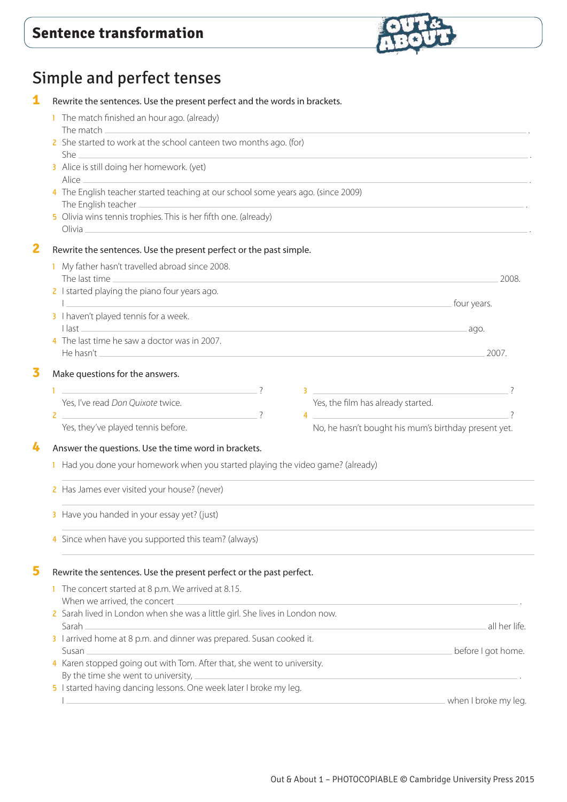

# Simple and perfect tenses

| 1            | Rewrite the sentences. Use the present perfect and the words in brackets.<br>1 The match finished an hour ago. (already)<br>2 She started to work at the school canteen two months ago. (for)<br>3 Alice is still doing her homework. (yet)<br>Alice<br>4 The English teacher started teaching at our school some years ago. (since 2009)<br>The English teacher _ |                                                                                                                                                                                                                                                                                                                                                                                                                                                                          |
|--------------|--------------------------------------------------------------------------------------------------------------------------------------------------------------------------------------------------------------------------------------------------------------------------------------------------------------------------------------------------------------------|--------------------------------------------------------------------------------------------------------------------------------------------------------------------------------------------------------------------------------------------------------------------------------------------------------------------------------------------------------------------------------------------------------------------------------------------------------------------------|
|              |                                                                                                                                                                                                                                                                                                                                                                    |                                                                                                                                                                                                                                                                                                                                                                                                                                                                          |
|              |                                                                                                                                                                                                                                                                                                                                                                    |                                                                                                                                                                                                                                                                                                                                                                                                                                                                          |
|              |                                                                                                                                                                                                                                                                                                                                                                    |                                                                                                                                                                                                                                                                                                                                                                                                                                                                          |
|              |                                                                                                                                                                                                                                                                                                                                                                    |                                                                                                                                                                                                                                                                                                                                                                                                                                                                          |
|              | 5 Olivia wins tennis trophies. This is her fifth one. (already)                                                                                                                                                                                                                                                                                                    |                                                                                                                                                                                                                                                                                                                                                                                                                                                                          |
| $\mathbf{2}$ | Rewrite the sentences. Use the present perfect or the past simple.                                                                                                                                                                                                                                                                                                 |                                                                                                                                                                                                                                                                                                                                                                                                                                                                          |
|              | 1 My father hasn't travelled abroad since 2008.                                                                                                                                                                                                                                                                                                                    |                                                                                                                                                                                                                                                                                                                                                                                                                                                                          |
|              | The last time <b>contract the contract of the contract of the contract of the contract of the contract of the contract of the contract of the contract of the contract of the contract of the contract of the contract of the co</b><br>2 I started playing the piano four years ago.                                                                              | 2008.                                                                                                                                                                                                                                                                                                                                                                                                                                                                    |
|              | <b>Example 2018</b> Tour years.<br>the contract of the contract of the contract of                                                                                                                                                                                                                                                                                 |                                                                                                                                                                                                                                                                                                                                                                                                                                                                          |
|              | 3 I haven't played tennis for a week.                                                                                                                                                                                                                                                                                                                              |                                                                                                                                                                                                                                                                                                                                                                                                                                                                          |
|              | $\overline{\phantom{a}}$ and $\overline{\phantom{a}}$ and $\overline{\phantom{a}}$ and $\overline{\phantom{a}}$ and $\overline{\phantom{a}}$ and $\overline{\phantom{a}}$ and $\overline{\phantom{a}}$ and $\overline{\phantom{a}}$<br>4 The last time he saw a doctor was in 2007.                                                                                |                                                                                                                                                                                                                                                                                                                                                                                                                                                                          |
|              | He hasn't learning to the contract of the contract of the contract of the contract of the contract of the contract of the contract of the contract of the contract of the contract of the contract of the contract of the cont                                                                                                                                     | 2007.                                                                                                                                                                                                                                                                                                                                                                                                                                                                    |
| 3            | Make questions for the answers.                                                                                                                                                                                                                                                                                                                                    |                                                                                                                                                                                                                                                                                                                                                                                                                                                                          |
|              |                                                                                                                                                                                                                                                                                                                                                                    | $\overline{\mathbf{3}}$ $\overline{\mathbf{3}}$ $\overline{\mathbf{1}}$                                                                                                                                                                                                                                                                                                                                                                                                  |
|              | Yes, the film has already started.<br>Yes, I've read Don Quixote twice.                                                                                                                                                                                                                                                                                            |                                                                                                                                                                                                                                                                                                                                                                                                                                                                          |
|              | $2 \overline{ }$<br>$\overline{?}$<br>Yes, they've played tennis before.                                                                                                                                                                                                                                                                                           | $\overline{4}$ $\overline{4}$ $\overline{4}$ $\overline{4}$ $\overline{4}$ $\overline{4}$ $\overline{4}$ $\overline{4}$ $\overline{4}$ $\overline{4}$ $\overline{4}$ $\overline{4}$ $\overline{4}$ $\overline{4}$ $\overline{4}$ $\overline{4}$ $\overline{4}$ $\overline{4}$ $\overline{4}$ $\overline{4}$ $\overline{4}$ $\overline{4}$ $\overline{4}$ $\overline{4}$ $\overline{$<br>$\overline{\phantom{0}}$<br>No, he hasn't bought his mum's birthday present yet. |
| 4            | Answer the questions. Use the time word in brackets.                                                                                                                                                                                                                                                                                                               |                                                                                                                                                                                                                                                                                                                                                                                                                                                                          |
|              | I Had you done your homework when you started playing the video game? (already)                                                                                                                                                                                                                                                                                    |                                                                                                                                                                                                                                                                                                                                                                                                                                                                          |
|              | 2 Has James ever visited your house? (never)<br>3 Have you handed in your essay yet? (just)                                                                                                                                                                                                                                                                        |                                                                                                                                                                                                                                                                                                                                                                                                                                                                          |
|              |                                                                                                                                                                                                                                                                                                                                                                    |                                                                                                                                                                                                                                                                                                                                                                                                                                                                          |
|              | 5                                                                                                                                                                                                                                                                                                                                                                  | Rewrite the sentences. Use the present perfect or the past perfect.                                                                                                                                                                                                                                                                                                                                                                                                      |
|              | The concert started at 8 p.m. We arrived at 8.15.<br>When we arrived, the concert                                                                                                                                                                                                                                                                                  |                                                                                                                                                                                                                                                                                                                                                                                                                                                                          |
|              | 2 Sarah lived in London when she was a little girl. She lives in London now.<br>Sarah.                                                                                                                                                                                                                                                                             | all her life.                                                                                                                                                                                                                                                                                                                                                                                                                                                            |
|              | 3 I arrived home at 8 p.m. and dinner was prepared. Susan cooked it.<br>$S$ usan $-$                                                                                                                                                                                                                                                                               | before I got home.                                                                                                                                                                                                                                                                                                                                                                                                                                                       |
|              | 4 Karen stopped going out with Tom. After that, she went to university.<br>By the time she went to university, $=$                                                                                                                                                                                                                                                 |                                                                                                                                                                                                                                                                                                                                                                                                                                                                          |
|              | 5 I started having dancing lessons. One week later I broke my leg.                                                                                                                                                                                                                                                                                                 |                                                                                                                                                                                                                                                                                                                                                                                                                                                                          |
|              |                                                                                                                                                                                                                                                                                                                                                                    | when I broke my leg.                                                                                                                                                                                                                                                                                                                                                                                                                                                     |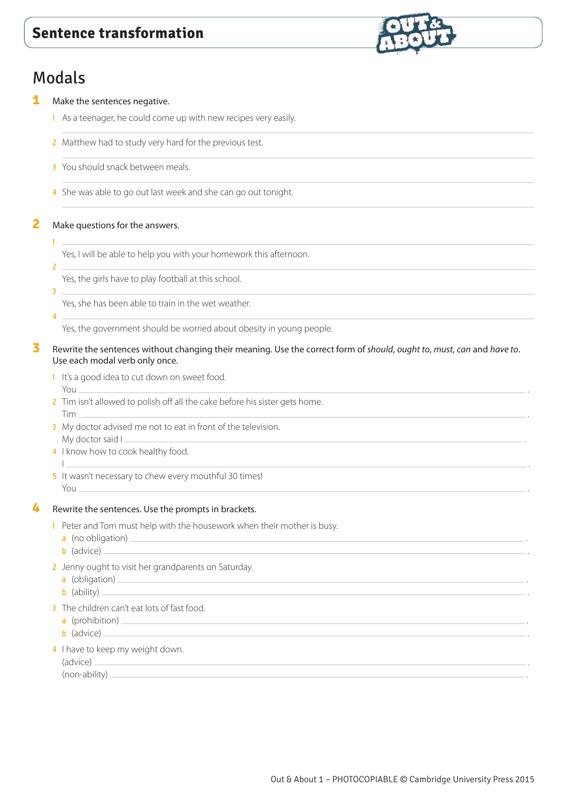

# Modals

**1** Make the sentences negative.

- 1 As a teenager, he could come up with new recipes very easily.
- 2 Matthew had to study very hard for the previous test.
- 3 You should snack between meals.
- 4 She was able to go out last week and she can go out tonight.

**2** Make questions for the answers.

 $\mathbf{L}$ 1

Yes, I will be able to help you with your homework this afternoon.

2

3

Yes, the girls have to play football at this school.

Yes, she has been able to train in the wet weather.

4

Yes, the government should be worried about obesity in young people.

- **3** Rewrite the sentences without changing their meaning. Use the correct form of *should*, *ought to*, *must*, *can* and *have to*. Use each modal verb only once.
	- 1 It's a good idea to cut down on sweet food. You .
	- 2 Tim isn't allowed to polish off all the cake before his sister gets home. Tim .
	- 3 My doctor advised me not to eat in front of the television. My doctor said I .
	- 4 I know how to cook healthy food.
	- I <u>a bhliain 1976 an t-Iomraidh ann an t-Iomraidh ann an t-Iomraidh ann an t-Iomraidh ann an t-</u> 5 It wasn't necessary to chew every mouthful 30 times! You .

## **4** Rewrite the sentences. Use the prompts in brackets.

- 1 Peter and Tom must help with the housework when their mother is busy.
	- $a$  (no obligation)  $a$
	- b (advice) .
- 2 Jenny ought to visit her grandparents on Saturday.
	- a (obligation) .
	- b (ability) .
- 3 The children can't eat lots of fast food.
	- a (prohibition)  $\equiv$
	- b (advice) .
- 4 I have to keep my weight down.

(advice) . (non-ability)  $-$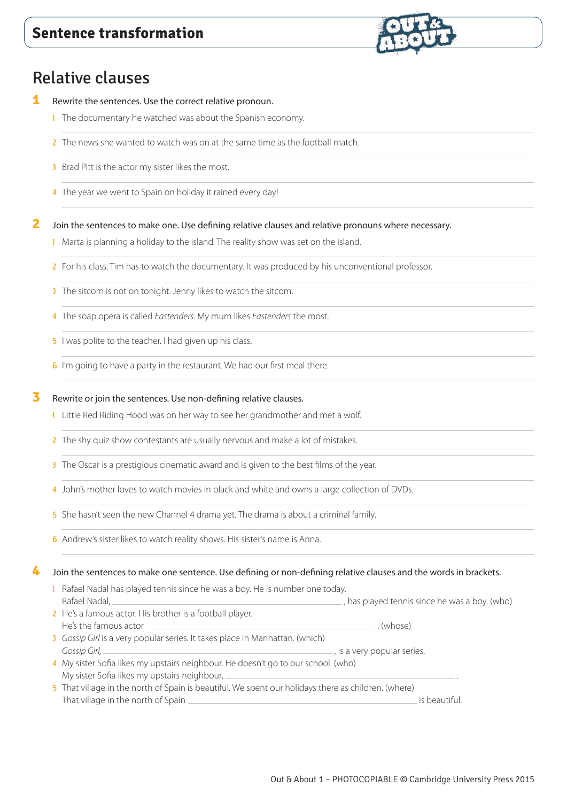

- **1** Rewrite the sentences. Use the correct relative pronoun.
	- **1** The documentary he watched was about the Spanish economy.
	- 2 The news she wanted to watch was on at the same time as the football match.
	- **3** Brad Pitt is the actor my sister likes the most.
	- 4 The year we went to Spain on holiday it rained every day!
- **2** Join the sentences to make one. Use defining relative clauses and relative pronouns where necessary.
	- 1 Marta is planning a holiday to the island. The reality show was set on the island.
	- 2 For his class, Tim has to watch the documentary. It was produced by his unconventional professor.
	- 3 The sitcom is not on tonight. Jenny likes to watch the sitcom.
	- 4 The soap opera is called *Eastenders*. My mum likes *Eastenders* the most.
	- 5 I was polite to the teacher. I had given up his class.
	- 6 I'm going to have a party in the restaurant. We had our first meal there.

#### **3** Rewrite or join the sentences. Use non-defining relative clauses.

- 1 Little Red Riding Hood was on her way to see her grandmother and met a wolf.
- 2 The shy quiz show contestants are usually nervous and make a lot of mistakes.
- 3 The Oscar is a prestigious cinematic award and is given to the best films of the year.
- 4 John's mother loves to watch movies in black and white and owns a large collection of DVDs.
- 5 She hasn't seen the new Channel 4 drama yet. The drama is about a criminal family.
- 6 Andrew's sister likes to watch reality shows. His sister's name is Anna.

#### **4** Join the sentences to make one sentence. Use defining or non-defining relative clauses and the words in brackets.

1 Rafael Nadal has played tennis since he was a boy. He is number one today. Rafael Nadal, **has played tennis since he was a boy.** (who) (who) 2 He's a famous actor. His brother is a football player. He's the famous actor . (whose)

- 3 *Gossip Girl* is a very popular series. It takes place in Manhattan. (which) *Gossip Girl, ,* is a very popular series.
- 4 My sister Sofia likes my upstairs neighbour. He doesn't go to our school. (who) My sister Sofia likes my upstairs neighbour, .
- 5 That village in the north of Spain is beautiful. We spent our holidays there as children. (where) That village in the north of Spain **is beautiful.** If the north of Spain **is beautiful.** Is beautiful.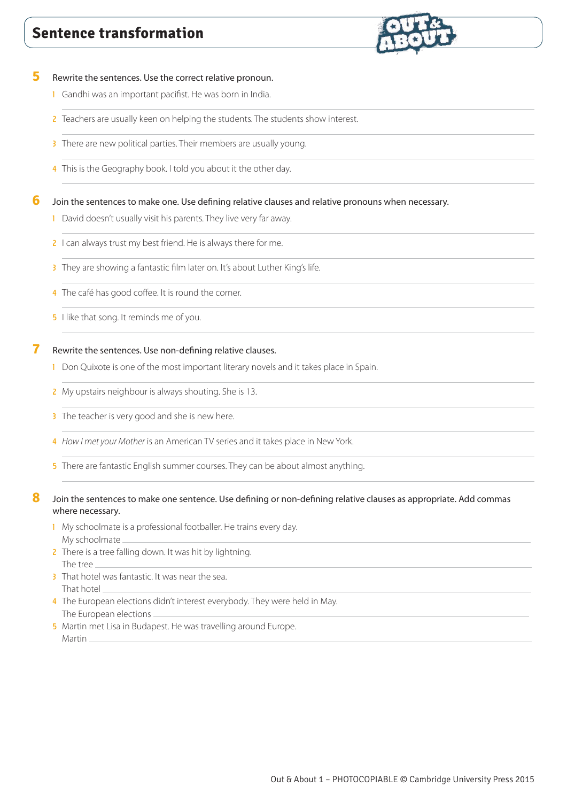

### **5** Rewrite the sentences. Use the correct relative pronoun.

- 1 Gandhi was an important pacifist. He was born in India.
- 2 Teachers are usually keen on helping the students. The students show interest.
- 3 There are new political parties. Their members are usually young.
- 4 This is the Geography book. I told you about it the other day.

#### **6** Join the sentences to make one. Use defining relative clauses and relative pronouns when necessary.

- 1 David doesn't usually visit his parents. They live very far away.
- 2 I can always trust my best friend. He is always there for me.
- 3 They are showing a fantastic film later on. It's about Luther King's life.
- 4 The café has good coffee. It is round the corner.
- **5** I like that song. It reminds me of you.

## **7** Rewrite the sentences. Use non-defining relative clauses.

- 1 Don Quixote is one of the most important literary novels and it takes place in Spain.
- 2 My upstairs neighbour is always shouting. She is 13.
- 3 The teacher is very good and she is new here.
- 4 *How I met your Mother* is an American TV series and it takes place in New York.
- 5 There are fantastic English summer courses. They can be about almost anything.

## 8 Join the sentences to make one sentence. Use defining or non-defining relative clauses as appropriate. Add commas where necessary.

- 1 My schoolmate is a professional footballer. He trains every day. My schoolmate
- 2 There is a tree falling down. It was hit by lightning. The tree
- 3 That hotel was fantastic. It was near the sea. That hotel
- 4 The European elections didn't interest everybody. They were held in May. The European elections
- 5 Martin met Lisa in Budapest. He was travelling around Europe. Martin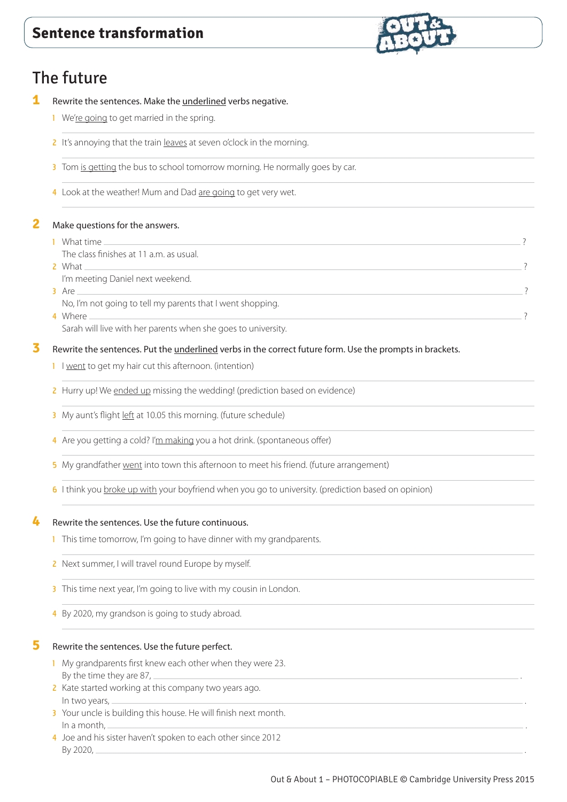# The future

- **1** Rewrite the sentences. Make the underlined verbs negative.
	- 1 We're going to get married in the spring.
	- 2 It's annoying that the train leaves at seven o'clock in the morning.
	- 3 Tom is getting the bus to school tomorrow morning. He normally goes by car.
	- 4 Look at the weather! Mum and Dad are going to get very wet.

## **2** Make questions for the answers.

1 What time <u>substitutions are contracted</u> and the contracted and the contracted and the contracted and the contracted and the contracted and the contracted and the contracted and the contracted and the contracted and the The class finishes at 11 a.m. as usual. 2 What 2 what a set of the contract of the contract of the contract of the contract of the contract of the contract of the contract of the contract of the contract of the contract of the contract of the contract of the con I'm meeting Daniel next weekend.  $\overline{3}$  Are  $\overline{3}$ No, I'm not going to tell my parents that I went shopping. 4 Where 2012 **All and 2012 Contract Contract Contract Contract Contract Contract Contract Contract Contract Contract Contract Contract Contract Contract Contract Contract Contract Contract Contract Contract Contract Cont** 

Sarah will live with her parents when she goes to university.

# **3** Rewrite the sentences. Put the underlined verbs in the correct future form. Use the prompts in brackets.

- 1 I went to get my hair cut this afternoon. (intention)
- 2 Hurry up! We ended up missing the wedding! (prediction based on evidence)
- 3 My aunt's flight left at 10.05 this morning. (future schedule)
- 4 Are you getting a cold? I'm making you a hot drink. (spontaneous offer)
- 5 My grandfather went into town this afternoon to meet his friend. (future arrangement)
- 6 I think you broke up with your boyfriend when you go to university. (prediction based on opinion)

## **4** Rewrite the sentences. Use the future continuous.

- 1 This time tomorrow, I'm going to have dinner with my grandparents.
- 2 Next summer, I will travel round Europe by myself.
- 3 This time next year, I'm going to live with my cousin in London.
- 4 By 2020, my grandson is going to study abroad.

#### **5** Rewrite the sentences. Use the future perfect.

- 1 My grandparents first knew each other when they were 23. By the time they are  $87<sub>1</sub>$
- 2 Kate started working at this company two years ago. In two years, .
- 3 Your uncle is building this house. He will finish next month. In a month, .
- 4 Joe and his sister haven't spoken to each other since 2012 By 2020, .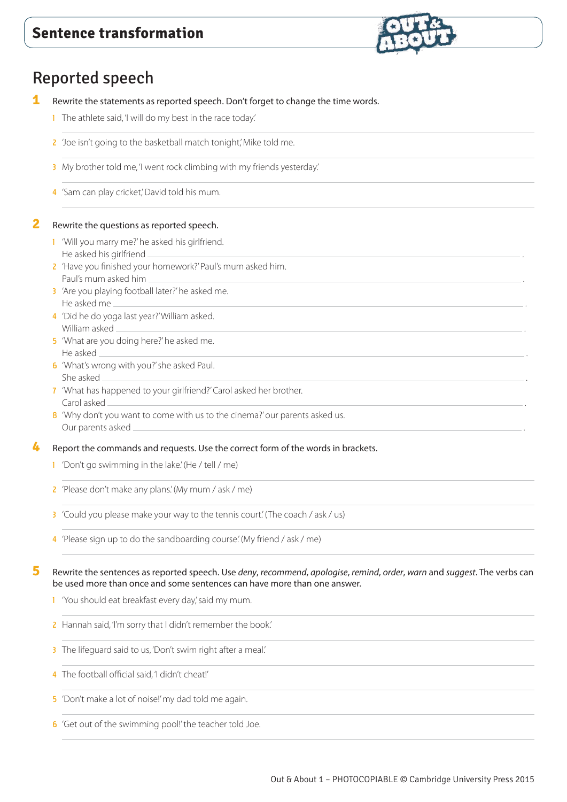

# Reported speech

- **1** Rewrite the statements as reported speech. Don't forget to change the time words.
	- 1 The athlete said, 'I will do my best in the race today.'
	- 2 'Joe isn't going to the basketball match tonight,' Mike told me.
	- 3 My brother told me, 'I went rock climbing with my friends yesterday.'
	- 4 'Sam can play cricket', David told his mum.

# **2** Rewrite the questions as reported speech.

- 1 'Will you marry me?' he asked his girlfriend. He asked his girlfriend
- 2 'Have you finished your homework?' Paul's mum asked him. Paul's mum asked him .
- 3 'Are you playing football later?' he asked me. He asked me .
- 4 'Did he do yoga last year?' William asked. William asked .
- 5 'What are you doing here?' he asked me. He asked .
- 6 'What's wrong with you?' she asked Paul. She asked .
- 7 'What has happened to your girlfriend?' Carol asked her brother. Carol asked .
- 8 'Why don't you want to come with us to the cinema?' our parents asked us. Our parents asked

**4** Report the commands and requests. Use the correct form of the words in brackets.

- 1 'Don't go swimming in the lake' (He / tell / me)
- 2 'Please don't make any plans.' (My mum / ask / me)
- 3 'Could you please make your way to the tennis court.' (The coach / ask / us)
- 4 'Please sign up to do the sandboarding course.' (My friend / ask / me)

**5** Rewrite the sentences as reported speech. Use *deny*, *recommend*, *apologise*, *remind*, *order*, *warn* and *suggest*. The verbs can be used more than once and some sentences can have more than one answer.

- 1 'You should eat breakfast every day' said my mum.
- 2 Hannah said, 'I'm sorry that I didn't remember the book.'
- 3 The lifeguard said to us, 'Don't swim right after a meal.'
- 4 The football official said, 'I didn't cheat!'
- 5 'Don't make a lot of noise!' my dad told me again.
- 6 'Get out of the swimming pool!' the teacher told Joe.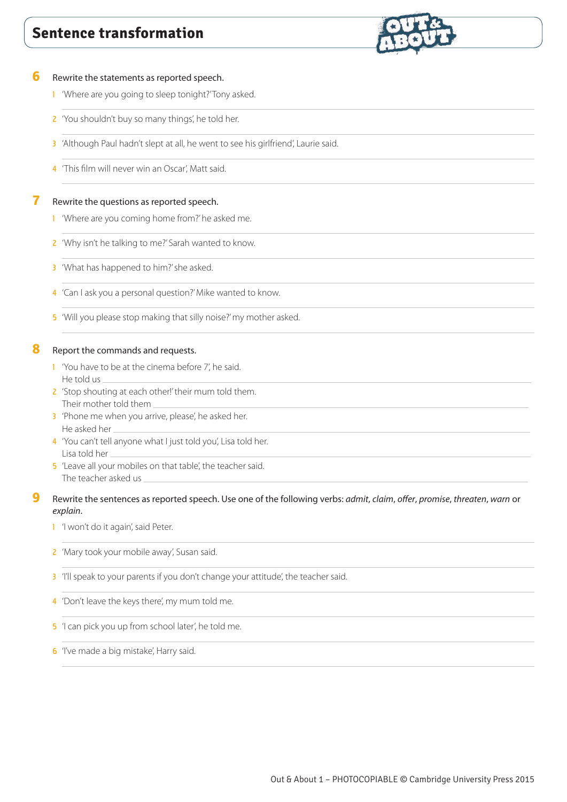

#### **6** Rewrite the statements as reported speech.

- 1 'Where are you going to sleep tonight?' Tony asked.
- 2 'You shouldn't buy so many things', he told her.
- 3 'Although Paul hadn't slept at all, he went to see his girlfriend', Laurie said.
- 4 'This film will never win an Oscar', Matt said.

#### **7** Rewrite the questions as reported speech.

- 1 'Where are you coming home from?' he asked me.
- 2 'Why isn't he talking to me?' Sarah wanted to know.
- 3 'What has happened to him?' she asked.
- 4 'Can I ask you a personal question?' Mike wanted to know.
- 5 'Will you please stop making that silly noise?' my mother asked.

#### **8** Report the commands and requests.

- 1 'You have to be at the cinema before 7', he said. He told us
- 2 'Stop shouting at each other!' their mum told them. Their mother told them
- 3 'Phone me when you arrive, please', he asked her. He asked her
- 4 'You can't tell anyone what I just told you', Lisa told her. Lisa told her
- 5 'Leave all your mobiles on that table', the teacher said. The teacher asked us

## **9** Rewrite the sentences as reported speech. Use one of the following verbs: *admit*, *claim*, *offer*, *promise*, *threaten*, *warn* or *explain*.

1 'I won't do it again', said Peter.

- 2 'Mary took your mobile away', Susan said.
- 3 'I'll speak to your parents if you don't change your attitude', the teacher said.
- 4 'Don't leave the keys there', my mum told me.
- 5 'I can pick you up from school later', he told me.
- **6** 'I've made a big mistake', Harry said.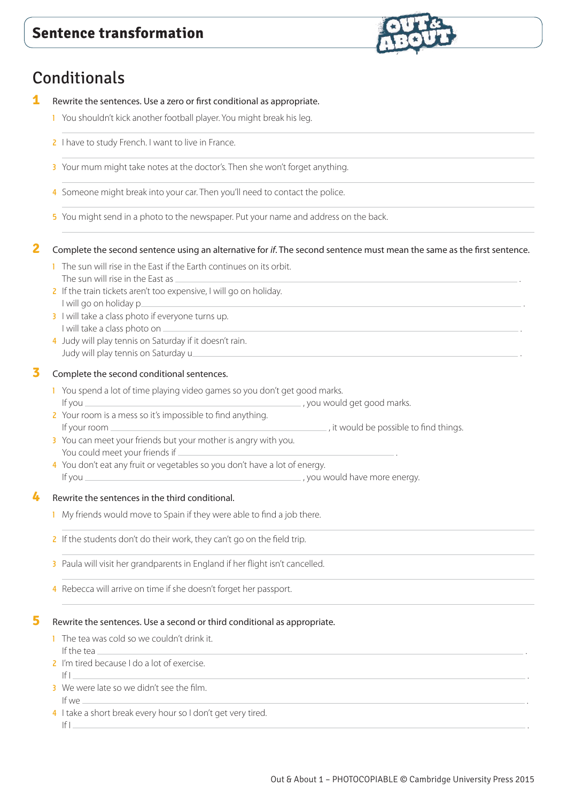# **Conditionals**

- **1** Rewrite the sentences. Use a zero or first conditional as appropriate.
	- 1 You shouldn't kick another football player. You might break his leg.
	- 2 I have to study French. I want to live in France.
	- 3 Your mum might take notes at the doctor's. Then she won't forget anything.
	- 4 Someone might break into your car. Then you'll need to contact the police.
	- 5 You might send in a photo to the newspaper. Put your name and address on the back.

# **2** Complete the second sentence using an alternative for *if*. The second sentence must mean the same as the first sentence.

- 1 The sun will rise in the East if the Earth continues on its orbit. The sun will rise in the East as
- 2 If the train tickets aren't too expensive, I will go on holiday. I will go on holiday p.
- 3 I will take a class photo if everyone turns up. I will take a class photo on .
- 4 Judy will play tennis on Saturday if it doesn't rain. Judy will play tennis on Saturday u

## **3** Complete the second conditional sentences.

- 1 You spend a lot of time playing video games so you don't get good marks. If you  $\frac{1}{2}$  you would get good marks.
- 2 Your room is a mess so it's impossible to find anything. If your room <u>example and the possible to find things.</u> It would be possible to find things.
- 3 You can meet your friends but your mother is angry with you. You could meet your friends if
- 4 You don't eat any fruit or vegetables so you don't have a lot of energy. If you , you would have more energy.

## **4** Rewrite the sentences in the third conditional.

- 1 My friends would move to Spain if they were able to find a job there.
- 2 If the students don't do their work, they can't go on the field trip.
- 3 Paula will visit her grandparents in England if her flight isn't cancelled.
- 4 Rebecca will arrive on time if she doesn't forget her passport.

#### **5** Rewrite the sentences. Use a second or third conditional as appropriate.

- 1 The tea was cold so we couldn't drink it. If the tea .
- 2 I'm tired because I do a lot of exercise. If I .
- 3 We were late so we didn't see the film. If we .
- 4 I take a short break every hour so I don't get very tired. If I .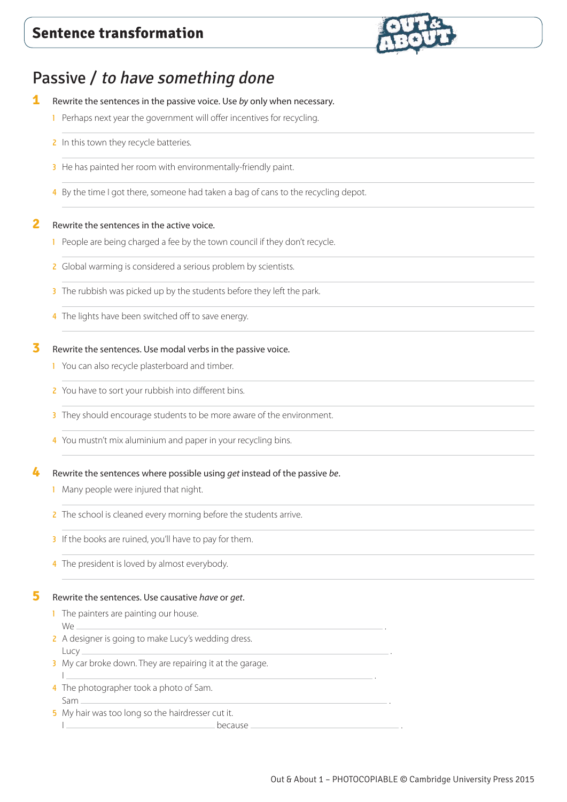

# Passive / to have something done

- **1** Rewrite the sentences in the passive voice. Use *by* only when necessary.
	- 1 Perhaps next year the government will offer incentives for recycling.
	- 2 In this town they recycle batteries.
	- 3 He has painted her room with environmentally-friendly paint.
	- 4 By the time I got there, someone had taken a bag of cans to the recycling depot.

## **2** Rewrite the sentences in the active voice.

- 1 People are being charged a fee by the town council if they don't recycle.
- 2 Global warming is considered a serious problem by scientists.
- 3 The rubbish was picked up by the students before they left the park.
- 4 The lights have been switched off to save energy.

# **3** Rewrite the sentences. Use modal verbs in the passive voice.

- 1 You can also recycle plasterboard and timber.
- 2 You have to sort your rubbish into different bins.
- 3 They should encourage students to be more aware of the environment.
- 4 You mustn't mix aluminium and paper in your recycling bins.

## **4** Rewrite the sentences where possible using *get* instead of the passive *be*.

- 1 Many people were injured that night.
- 2 The school is cleaned every morning before the students arrive.
- 3 If the books are ruined, you'll have to pay for them.
- 4 The president is loved by almost everybody.

## **5** Rewrite the sentences. Use causative *have* or *get*.

- 1 The painters are painting our house. We .
- 2 A designer is going to make Lucy's wedding dress. Lucy .
- 3 My car broke down. They are repairing it at the garage. I .
- 4 The photographer took a photo of Sam. Sam .
- 5 My hair was too long so the hairdresser cut it. I because